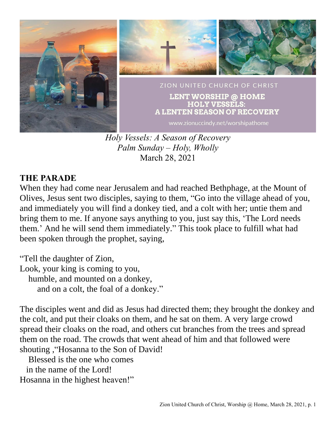

*Holy Vessels: A Season of Recovery Palm Sunday – Holy, Wholly* March 28, 2021

### **THE PARADE**

When they had come near Jerusalem and had reached Bethphage, at the Mount of Olives, Jesus sent two disciples, saying to them, "Go into the village ahead of you, and immediately you will find a donkey tied, and a colt with her; untie them and bring them to me. If anyone says anything to you, just say this, 'The Lord needs them.' And he will send them immediately." This took place to fulfill what had been spoken through the prophet, saying,

"Tell the daughter of Zion, Look, your king is coming to you, humble, and mounted on a donkey, and on a colt, the foal of a donkey."

The disciples went and did as Jesus had directed them; they brought the donkey and the colt, and put their cloaks on them, and he sat on them. A very large crowd spread their cloaks on the road, and others cut branches from the trees and spread them on the road. The crowds that went ahead of him and that followed were shouting ,"Hosanna to the Son of David!

Blessed is the one who comes in the name of the Lord! Hosanna in the highest heaven!"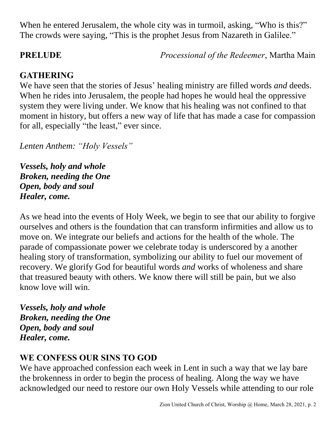When he entered Jerusalem, the whole city was in turmoil, asking, "Who is this?" The crowds were saying, "This is the prophet Jesus from Nazareth in Galilee."

**PRELUDE** *Processional of the Redeemer*, Martha Main

# **GATHERING**

We have seen that the stories of Jesus' healing ministry are filled words *and* deeds. When he rides into Jerusalem, the people had hopes he would heal the oppressive system they were living under. We know that his healing was not confined to that moment in history, but offers a new way of life that has made a case for compassion for all, especially "the least," ever since.

*Lenten Anthem: "Holy Vessels"*

*Vessels, holy and whole Broken, needing the One Open, body and soul Healer, come.*

As we head into the events of Holy Week, we begin to see that our ability to forgive ourselves and others is the foundation that can transform infirmities and allow us to move on. We integrate our beliefs and actions for the health of the whole. The parade of compassionate power we celebrate today is underscored by a another healing story of transformation, symbolizing our ability to fuel our movement of recovery. We glorify God for beautiful words *and* works of wholeness and share that treasured beauty with others. We know there will still be pain, but we also know love will win.

*Vessels, holy and whole Broken, needing the One Open, body and soul Healer, come.*

# **WE CONFESS OUR SINS TO GOD**

We have approached confession each week in Lent in such a way that we lay bare the brokenness in order to begin the process of healing. Along the way we have acknowledged our need to restore our own Holy Vessels while attending to our role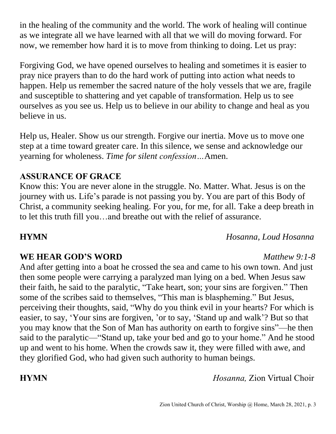in the healing of the community and the world. The work of healing will continue as we integrate all we have learned with all that we will do moving forward. For now, we remember how hard it is to move from thinking to doing. Let us pray:

Forgiving God, we have opened ourselves to healing and sometimes it is easier to pray nice prayers than to do the hard work of putting into action what needs to happen. Help us remember the sacred nature of the holy vessels that we are, fragile and susceptible to shattering and yet capable of transformation. Help us to see ourselves as you see us. Help us to believe in our ability to change and heal as you believe in us.

Help us, Healer. Show us our strength. Forgive our inertia. Move us to move one step at a time toward greater care. In this silence, we sense and acknowledge our yearning for wholeness. *Time for silent confession…*Amen.

### **ASSURANCE OF GRACE**

Know this: You are never alone in the struggle. No. Matter. What. Jesus is on the journey with us. Life's parade is not passing you by. You are part of this Body of Christ, a community seeking healing. For you, for me, for all. Take a deep breath in to let this truth fill you…and breathe out with the relief of assurance.

### **HYMN** *Hosanna, Loud Hosanna*

## **WE HEAR GOD'S WORD** *Matthew 9:1-8*

And after getting into a boat he crossed the sea and came to his own town. And just then some people were carrying a paralyzed man lying on a bed. When Jesus saw their faith, he said to the paralytic, "Take heart, son; your sins are forgiven." Then some of the scribes said to themselves, "This man is blaspheming." But Jesus, perceiving their thoughts, said, "Why do you think evil in your hearts? For which is easier, to say, 'Your sins are forgiven, 'or to say, 'Stand up and walk'? But so that you may know that the Son of Man has authority on earth to forgive sins"—he then said to the paralytic—"Stand up, take your bed and go to your home." And he stood up and went to his home. When the crowds saw it, they were filled with awe, and they glorified God, who had given such authority to human beings.

**HYMN** *Hosanna,* Zion Virtual Choir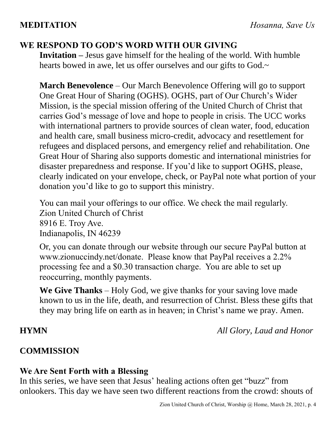## **WE RESPOND TO GOD'S WORD WITH OUR GIVING**

**Invitation –** Jesus gave himself for the healing of the world. With humble hearts bowed in awe, let us offer ourselves and our gifts to God.~

**March Benevolence** – Our March Benevolence Offering will go to support One Great Hour of Sharing (OGHS). OGHS, part of Our Church's Wider Mission, is the special mission offering of the United Church of Christ that carries God's message of love and hope to people in crisis. The UCC works with international partners to provide sources of clean water, food, education and health care, small business micro-credit, advocacy and resettlement for refugees and displaced persons, and emergency relief and rehabilitation. One Great Hour of Sharing also supports domestic and international ministries for disaster preparedness and response. If you'd like to support OGHS, please, clearly indicated on your envelope, check, or PayPal note what portion of your donation you'd like to go to support this ministry.

You can mail your offerings to our office. We check the mail regularly. Zion United Church of Christ 8916 E. Troy Ave. Indianapolis, IN 46239

Or, you can donate through our website through our secure PayPal button at www.zionuccindy.net/donate. Please know that PayPal receives a 2.2% processing fee and a \$0.30 transaction charge. You are able to set up reoccurring, monthly payments.

**We Give Thanks** – Holy God, we give thanks for your saving love made known to us in the life, death, and resurrection of Christ. Bless these gifts that they may bring life on earth as in heaven; in Christ's name we pray. Amen.

**HYMN** *All Glory, Laud and Honor*

## **COMMISSION**

## **We Are Sent Forth with a Blessing**

In this series, we have seen that Jesus' healing actions often get "buzz" from onlookers. This day we have seen two different reactions from the crowd: shouts of